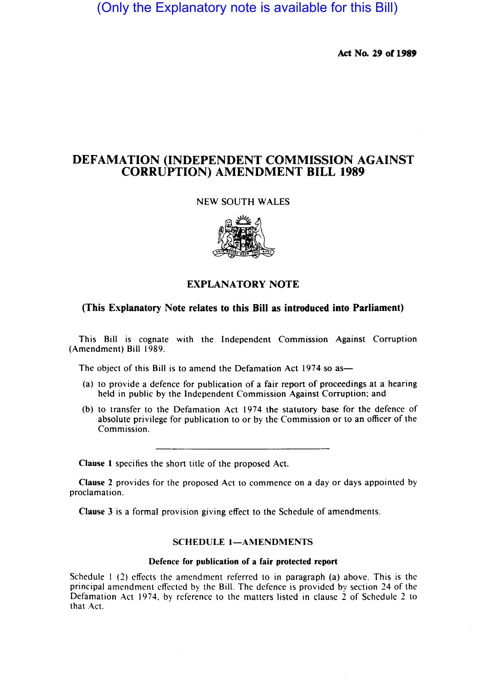(Only the Explanatory note is available for this Bill)

Act No. 29 of 1989

# DEFAMATION (INDEPENDENT COMMISSION AGAINST CORRUPTION) AMENDMENT BILL 1989

### NEW SOUTH WALES



## EXPLANATORY NOTE

## (This Explanatory Note relates to this Bill as introduced into Parliament)

This Bill is cognate with the Independent Commission Against Corruption (Amendment) Bill 1989.

The object of this Bill is to amend the Defamation Act 1974 so as-

- (a) to provide a defence for publication of a fair report of proceedings at a hearing held in public by the Independent Commission Against Corruption; and
- (b) to transfer to the Defamation Act 1974 the statutory base for the defence of absolute privilege for publication to or by the Commission or to an officer of the Commission.

Clause I specifies the short title of the proposed Act.

Clause 2 provides for the proposed Act to commence on a day or days appointed by proclamation.

Clause 3 is a formal provision giving effect to the Schedule of amendments.

#### SCHEDULE 1-AMENDMENTS

### Defence for publication of a fair protected report

Schedule I (2) effects the amendment referred to in paragraph (a) above. This is the principal amendment effected by the Bill. The defence is provided by section 24 of the Defamation Act 1974, by reference to the matters listed in clause 2 of Schedule 2 to that Act.